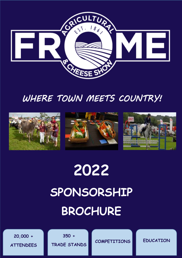

## *WHERE TOWN MEETS COUNTRY!*



# **2022 SPONSORSHIP BROCHURE**

**20,000 + ATTENDEES**

**350 + TRADE STANDS**

**COMPETITIONS EDUCATION**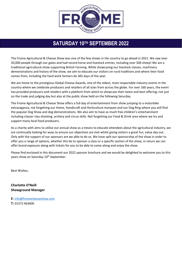

### **SATURDAY 10TH SEPTEMBER 2022**

The Frome Agricultural & Cheese Show was one of the few shows in the country to go ahead in 2021. We saw over 20,000 people through our gates and had record horse and livestock entries, including over 500 sheep! We are a traditional agricultural show supporting British Farming. While showcasing our livestock classes, machinery demonstrations and history of the show, we aim to educate our visitors on rural traditions and where their food comes from, including the hard work farmers do 365 days of the year.

We are home to the prestigious Global Cheese Awards, one of the oldest, most respectable industry events in the country where we celebrate producers and retailers of all sizes from across the globe. For over 160 years, the event has provided producers and retailers with a platform from which to showcase their latest and best offering; not just on the trade and judging day but also at the public show held on the following Saturday.

The Frome Agricultural & Cheese Show offers a full day of entertainment from show jumping to a motorbike extravaganza, not forgetting our Home, Handicraft and Horticulture marquee and our Dog Ring where you will find the popular Dog Show and dog demonstrations. We also aim to have as much free children's entertainment including clayser clay shooting, archery and circus skills. Not forgetting our Food & Drink area where we try and support many local food producers.

As a charity with aims to utilise our annual show as a means to educate attendees about the agricultural industry, we are continually looking for ways to ensure our objectives are met whilst giving visitors a great fun, value day out. Only with the support of our sponsors are we able to do so. We have split our sponsorship of the show in order to offer you a range of options, whether this be to sponsor a class or a specific section of the show, in return we can offer brand exposure along with tickets for you to be able to come along and enjoy the show.

Please find enclosed in this document our 2022 sponsor brochure and we would be delighted to welcome you to this years show on Saturday 10<sup>th</sup> September.

Best Wishes,

**Charlotte O'Neill Showground Manager** 

**E:** [info@fromecheeseshow.com](mailto:info@fromecheeseshow.com) **T:** 01373 463600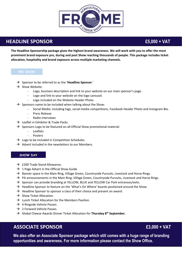

### **HEADLINE SPONSOR £5,000 + VAT**

**The Headline Sponsorship package gives the highest brand awareness. We will work with you to offer the most prominent brand exposure pre, during and post Show reaching thousands of people. This package includes ticket allocation, hospitality and brand exposure across multiple marketing channels.** 

- Sponsor to be referred to as the '**Headline Sponsor**.'
- $\rightarrow$  Show Website:
	- Logo, business description and link to your website on our main sponsor's page.
	- Logo and link to your website on the logo carousel.
	- Logo included on the Website Header Photo.
- $\rightarrow$  Sponsors name to be included when talking about the Show:
	- Social Media: including tags, social media competitions, Facebook Header Photo and Instagram Bio.
	- Press Release
	- Radio interviews
- $\rightarrow$  Leaflet in Exhibitor & Trade Packs.
- $\rightarrow$  Sponsors Logo to be featured on all Official Show promotional material:
	- **Leaflets**
	- **Posters**
- $\rightarrow$  Logo to be included in Competition Schedules.
- $\rightarrow$  Advert included in the newsletters to our Members.

### **SHOW DAY**

- $\rightarrow$  £200 Trade Stand Allowance.
- $\rightarrow$  1 Page Advert in the Official Show Guide
- $\rightarrow$  Banner space in the Main Ring, Village Green, Countryside Pursuits, Livestock and Horse Rings.
- $\rightarrow$  PA announcements in the Main Ring, Village Green, Countryside Pursuits, Livestock and Horse Rings.
- $\rightarrow$  Sponsor can provide branding at YELLOW, BLUE and YELLOW Car Park entrances/exits.
- $\rightarrow$  Headline Sponsor to feature on the 'What's On Where' boards positioned around the Show.
- $\rightarrow$  Headline Sponsor to sponsor a class of their choice and present an award.
- $\rightarrow$  Show Ticket Allocation.
- $\rightarrow$  Lunch Ticket Allocation for the Members Pavilion.
- $\rightarrow$  4 Ringside Vehicle Passes.
- $\rightarrow$  2 Forward Vehicle Passes.
- Global Cheese Awards Dinner Ticket Allocation for **Thursday 8th September.**

### **ASSOCIATE SPONSOR £3,000 + VAT**

**We also offer an Associate Sponsor package which still comes with a huge range of branding opportunities and awareness. For more information please contact the Show Office.**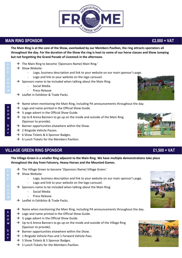### **MAIN RING SPONSOR £2,000 + VAT**

**The Main Ring is at the core of the Show, overlooked by our Members Pavilion, the ring attracts spectators all throughout the day. For the duration of the Show the ring is host to some of our horse classes and Show Jumping but not forgetting the Grand Parade of Livestock in the afternoon.** 

- $\rightarrow$  The Main Ring to become '(Sponsors Name) Main Ring.'
- $\rightarrow$  Show Website:
	- Logo, business description and link to your website on our main sponsor's page.
	- Logo and link to your website on the logo carousel.
- $\rightarrow$  Sponsors name to be included when talking about the Main Ring:
	- Social Media
	- Press Release
	- $\rightarrow$  Leaflet in Exhibitor & Trade Packs.
- $\rightarrow$  Name when mentioning the Main Ring, including PA announcements throughout the day.
- $\rightarrow$  Logo and name printed in the Official Show Guide.
- $\rightarrow$  % page advert in the Official Show Guide.
- $\rightarrow$  Up to 8 Arena Banners to go up on the inside and outside of the Main Ring (Sponsor to provide).
- $\rightarrow$  Banner opportunities elsewhere within the Show.
- $\rightarrow$  2 Ringside Vehicle Passes.
- $\rightarrow$  6 Show Tickets & 6 Sponsor Badges.
- $\rightarrow$  6 Lunch Tickets for the Members Pavilion.

### **VILLAGE GREEN RING SPONSOR £1,500 + VAT**

**The Village Green is a smaller Ring adjacent to the Main Ring. We have multiple demonstrations take place throughout the day from Falconry, Heavy Horses and the Mounted Games.** 

- $\rightarrow$  The Village Green to become '(Sponsors Name) Village Green.'
- $\rightarrow$  Show Website:
	- Logo, business description and link to your website on our main sponsor's page. Logo and link to your website on the logo carousel.
- $\rightarrow$  Sponsors name to be included when talking about the Main Ring:
	- Social Media
	- Press Release
- $\rightarrow$  Leaflet in Exhibitor & Trade Packs.
- $\rightarrow$  Name when mentioning the Main Ring, including PA announcements throughout the day.
- $\rightarrow$  Logo and name printed in the Official Show Guide.
- $\rightarrow$  % page advert in the Official Show Guide.
- $\rightarrow$  Up to 6 Arena Banners to go up on the inside and outside of the Village Ring (Sponsor to provide).
- $\rightarrow$  Banner opportunities elsewhere within the Show.
- $\rightarrow$  1 Ringside Vehicle Pass and 1 Forward Vehicle Pass.
- $\rightarrow$  5 Show Tickets & 5 Sponsor Badges.
- $\rightarrow$  5 Lunch Tickets for the Members Pavilion.











**Y**

**S H O W**

**D A Y**

**P**

**H O W**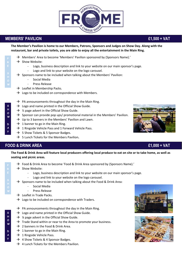### **MEMBERS' PAVILION £1,500 + VAT**

**The Member's Pavilion is home to our Members, Patrons, Sponsors and Judges on Show Day. Along with the restaurant, bar and private toilets, you are able to enjoy all the entertainment in the Main Ring.** 

- $\rightarrow$  Members' Area to become 'Members' Pavilion sponsored by (Sponsors Name).'
- $\rightarrow$  Show Website:
	- Logo, business description and link to your website on our main sponsor's page.
	- Logo and link to your website on the logo carousel.
- $\rightarrow$  Sponsors name to be included when talking about the Members' Pavilion:
	- Social Media
	- Press Release
- $\rightarrow$  Leaflet in Membership Packs.
- $\rightarrow$  Logo to be included on correspondence with Members.
- $\rightarrow$  PA announcements throughout the day in the Main Ring.
- $\rightarrow$  Logo and name printed in the Official Show Guide.
- $\rightarrow$  % page advert in the Official Show Guide.
- $\rightarrow$  Sponsor can provide pop ups/ promotional material in the Members' Pavilion.
- $\rightarrow$  Up to 3 banners in the Members' Pavilion and Lawn.
- $\rightarrow$  1 banner to go in the Main Ring.
- $\rightarrow$  1 Ringside Vehicle Pass and 1 Forward Vehicle Pass.
- $\rightarrow$  5 Show Tickets & 5 Sponsor Badges.
- 5 Lunch Tickets for the Members Pavilion**.**

### **FOOD & DRINK AREA £1,000 + VAT**

**The Food & Drink Area will feature local producers offering local produce to eat on site or to take home, as well as seating and picnic areas.** 

- $\rightarrow$  Food & Drink Area to become 'Food & Drink Area sponsored by (Sponsors Name).'
- $\rightarrow$  Show Website:
	- Logo, business description and link to your website on our main sponsor's page. Logo and link to your website on the logo carousel.
- $\rightarrow$  Sponsors name to be included when talking about the Food & Drink Area:
	- Social Media
	- Press Release
- $\rightarrow$  Leaflet in Trade Packs.
- $\rightarrow$  Logo to be included on correspondence with Traders.
- $\rightarrow$  PA announcements throughout the day in the Main Ring.
- $\rightarrow$  Logo and name printed in the Official Show Guide.
- $\rightarrow$  % page advert in the Official Show Guide.
- $\rightarrow$  Trade Stand within or near to the Area to promote your business.
- $\rightarrow$  2 banners in the Food & Drink Area.
- $\rightarrow$  1 banner to go in the Main Ring.
- $\rightarrow$  1 Ringside Vehicle Pass.
- $\rightarrow$  4 Show Tickets & 4 Sponsor Badges.
- $\rightarrow$  4 Lunch Tickets for the Members Pavilion.









**O W**

**S H O W D**

**A Y**

**P**

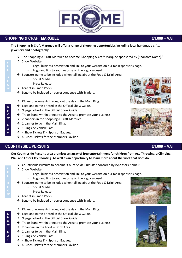### **SHOPPING & CRAFT MARQUEE £1,000 + VAT**

**The Shopping & Craft Marquee will offer a range of shopping opportunities including local handmade gifts, jewellery and photography.** 

- $\rightarrow$  The Shopping & Craft Marquee to become 'Shopping & Craft Marquee sponsored by (Sponsors Name).'
- $\rightarrow$  Show Website:
	- Logo, business description and link to your website on our main sponsor's page.
	- Logo and link to your website on the logo carousel.
- $\rightarrow$  Sponsors name to be included when talking about the Food & Drink Area:
	- Social Media
	- Press Release
- $\rightarrow$  Leaflet in Trade Packs.
- $\rightarrow$  Logo to be included on correspondence with Traders.
- $\rightarrow$  PA announcements throughout the day in the Main Ring.
- $\rightarrow$  Logo and name printed in the Official Show Guide.
- $\rightarrow$  % page advert in the Official Show Guide.
- $\rightarrow$  Trade Stand within or near to the Area to promote your business.
- $\rightarrow$  2 banners in the Shopping & Craft Marquee.
- $\rightarrow$  1 banner to go in the Main Ring.
- $\rightarrow$  1 Ringside Vehicle Pass.
- $\rightarrow$  4 Show Tickets & 4 Sponsor Badges.
- $\rightarrow$  4 Lunch Tickets for the Members Pavilion.

### **COUNTRYSIDE PERSUITS £1,000 + VAT**

**Our Countryside Pursuits area promises an array of free entertainment for children from Axe Throwing, a Climbing Wall and Laser Clay Shooting. As well as an opportunity to learn more about the work that Bees do.** 

- $\rightarrow$  Countryside Pursuits to become 'Countryside Pursuits sponsored by (Sponsors Name).'
- $\rightarrow$  Show Website:
	- Logo, business description and link to your website on our main sponsor's page.
	- Logo and link to your website on the logo carousel.
- $\rightarrow$  Sponsors name to be included when talking about the Food & Drink Area:
	- Social Media
	- Press Release
- $\rightarrow$  Leaflet in Trade Packs.
- $\rightarrow$  Logo to be included on correspondence with Traders.
- $\rightarrow$  PA announcements throughout the day in the Main Ring.
- $\rightarrow$  Logo and name printed in the Official Show Guide.
- $\rightarrow$  % page advert in the Official Show Guide.
- $\rightarrow$  Trade Stand within or near to the Area to promote your business.
- $\rightarrow$  2 banners in the Food & Drink Area.
- $\rightarrow$  1 banner to go in the Main Ring.
- $\rightarrow$  1 Ringside Vehicle Pass.
- $\rightarrow$  4 Show Tickets & 4 Sponsor Badges.
- $\rightarrow$  4 Lunch Tickets for the Members Pavilion.













**W**

**S H O W**

**D A Y**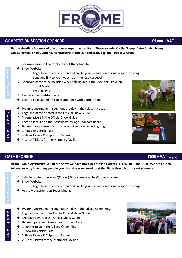### **Be the Headline Sponsor of one of our competitive sections. These include; Cattle, Sheep, Dairy Goats, Pygmy Goats, Horses, Show Jumping, Horticulture, Home & Handicraft, Egg and Fodder & Grain. COMPETITION SECTION SPONSOR £1,000 + VAT**

- $\rightarrow$  Sponsors logo on the front cover of the Schedule.
- $\rightarrow$  Show Website:
	- Logo, business description and link to your website on our main sponsor's page.
	- Logo and link to your website on the logo carousel.
- $\rightarrow$  Sponsors name to be included when talking about the Members' Pavilion:
	- Social Media
	- Press Release
- $\rightarrow$  Leaflet in Competitor Packs.
- $\rightarrow$  Logo to be included on correspondence with Competitors.
- $\rightarrow$  PA announcements throughout the day in the relevant section.
- $\rightarrow$  Logo and name printed in the Official Show Guide.
- $\rightarrow$  % page advert in the Official Show Guide.
- $\rightarrow$  Logo to feature on the Agricultural Village Sponsors board.
- $\rightarrow$  Banner space throughout the relevant section, including rings.
- $\rightarrow$  1 Ringside Vehicle Pass.
- $\rightarrow$  4 Show Tickets & 4 Sponsor Badges.
- $\rightarrow$  4 Lunch Tickets for the Members Pavilion.



**At the Frome Agricultural & Cheese Show we have three pedestrian Gates; YELLOW, RED and BLUE. We are able to tell you exactly how many people your brand was exposed to at the Show through our ticket scanners.** 

- $\rightarrow$  Selected Gate to become '(Colour) Gate sponsored by (Sponsors Name).'
- $\rightarrow$  Show Website:
	- Logo, business description and link to your website on our main sponsor's page.
- $\rightarrow$  Acknowledgement on Social Media.
- $\rightarrow$  PA announcements throughout the day in the Village Green Ring.
- $\rightarrow$  Logo and name printed in the Official Show Guide.
- $\rightarrow$  1/8 page advert in the Official Show Guide.
- $\rightarrow$  Banner Space and Signs at your chosen Gate.
- $\rightarrow$  1 banner to go in the Village Green Ring.
- $\rightarrow$  1 Forward Vehicle Pass.
- $\rightarrow$  2 Show Tickets & 2 Sponsor Badges.
- $\rightarrow$  2 Lunch Tickets for the Members Pavilion.









**H O**

**P**

**S H O W**

**D A Y**

**P**

**H O**

**S H O W**

> **D A Y**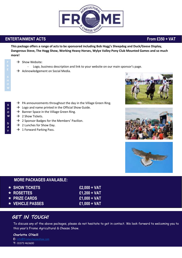

### **ENTERTAINMENT ACTS** *ENTERTAINMENT ACTS*

**This package offers a range of acts to be sponsored including Bob Hogg's Sheepdog and Duck/Geese Display, Dangerous Steve, The Hogg Show, Working Heavy Horses, Wylye Valley Pony Club Mounted Games and so much more!** 

- $\rightarrow$  Show Website:
	- Logo, business description and link to your website on our main sponsor's page.
- $\rightarrow$  Acknowledgement on Social Media.

- $\rightarrow$  PA announcements throughout the day in the Village Green Ring.
- $\rightarrow$  Logo and name printed in the Official Show Guide.
- $\rightarrow$  Banner Space in the Village Green Ring.
- $\rightarrow$  2 Show Tickets.

**S H O W**

**H O W**

**D A Y**

- $\rightarrow$  2 Sponsor Badges for the Members' Pavilion.
- $\rightarrow$  2 Lunches for Show Day.
- $\rightarrow$  1 Forward Parking Pass.







| <b>MORE PACKAGES AVAILABLE:</b> |                |
|---------------------------------|----------------|
| $\star$ SHOW TICKETS            | $£2,000 + VAT$ |
| $\star$ ROSETTES                | $£1,200 + VAT$ |
| $\star$ PRIZE CARDS $^{\circ}$  | $£1,000 + VAT$ |
| $\rightarrow$ VEHICLE PASSES .  | $£1,000 + VAT$ |

### *GET IN TOUCH!*

To discuss any of the above packages, please do not hesitate to get in contact. We look forward to welcoming you to this year's Frome Agricultural & Cheese Show.

### **Charlotte O'Neill**

**E:** [info@fromecheeseshow.com](mailto:info@fromecheeseshow.com) **T:** 01373 463600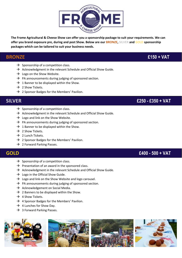

**The Frome Agricultural & Cheese Show can offer you a sponsorship package to suit your requirements. We can offer you brand exposure pre, during and post Show. Below are our BRONZE, SILVER and GOLD sponsorship packages which can be tailored to suit your business needs.**

### **BRONZE £150 + VAT**

- $\rightarrow$  Sponsorship of a competition class.
- $\rightarrow$  Acknowledgment in the relevant Schedule and Official Show Guide.
- $\rightarrow$  Logo on the Show Website.
- $\rightarrow$  PA announcements during judging of sponsored section.
- $\rightarrow$  1 Banner to be displayed within the Show.
- $\rightarrow$  2 Show Tickets.
- $\rightarrow$  2 Sponsor Badges for the Members' Pavilion.

 **SILVER £250 - £350 + VAT**

- $\rightarrow$  Sponsorship of a competition class.
- $\rightarrow$  Acknowledgment in the relevant Schedule and Official Show Guide.
- $\rightarrow$  Logo and link on the Show Website.
- $\rightarrow$  PA announcements during judging of sponsored section.
- $\rightarrow$  1 Banner to be displayed within the Show.
- $\rightarrow$  2 Show Tickets.
- $\rightarrow$  2 Lunch Tickets.
- $\rightarrow$  2 Sponsor Badges for the Members' Pavilion.
- $\rightarrow$  2 Forward Parking Passes.

### **GOLD £400 - 500 + VAT**

- $\rightarrow$  Sponsorship of a competition class.
- $\rightarrow$  Presentation of an award in the sponsored class.
- $\rightarrow$  Acknowledgment in the relevant Schedule and Official Show Guide.
- $\rightarrow$  Logo in the Official Show Guide.
- $\rightarrow$  Logo and link on the Show Website and logo carousel.
- $\rightarrow$  PA announcements during judging of sponsored section.
- $\rightarrow$  Acknowledgement on Social Media.
- $\rightarrow$  2 Banners to be displayed within the Show.
- $\rightarrow$  4 Show Tickets.
- $\rightarrow$  4 Sponsor Badges for the Members' Pavilion.
- $\rightarrow$  4 Lunches for Show Day.
- $\rightarrow$  3 Forward Parking Passes.